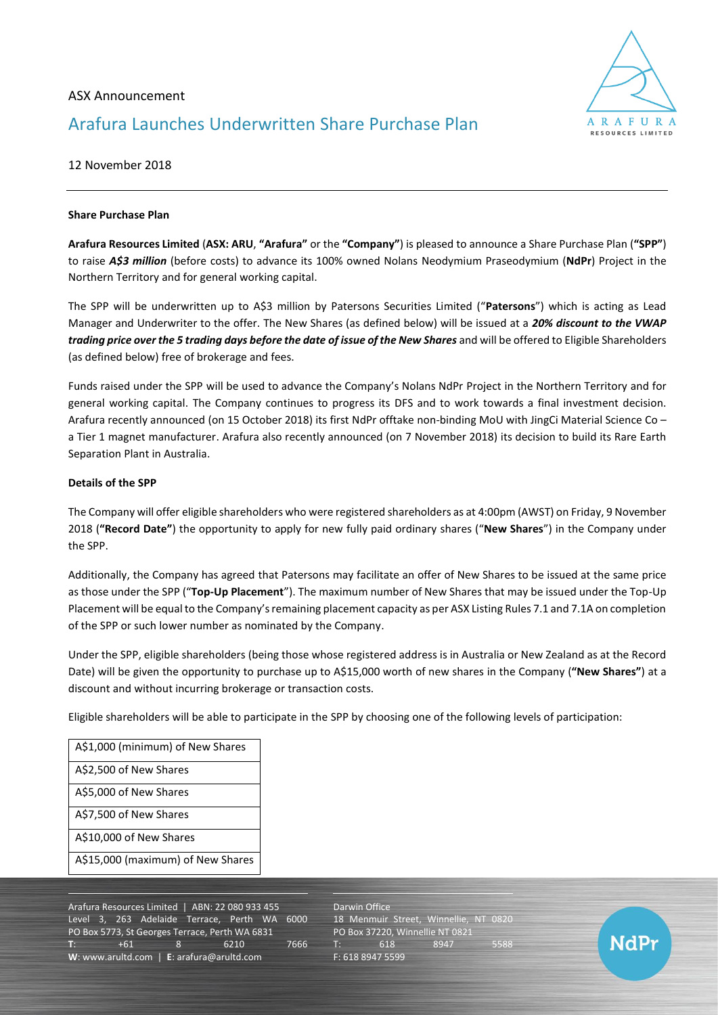# ASX Announcement Arafura Launches Underwritten Share Purchase Plan



## 12 November 2018

#### **Share Purchase Plan**

**Arafura Resources Limited** (**ASX: ARU**, **"Arafura"** or the **"Company"**) is pleased to announce a Share Purchase Plan (**"SPP"**) to raise *A\$3 million* (before costs) to advance its 100% owned Nolans Neodymium Praseodymium (**NdPr**) Project in the Northern Territory and for general working capital.

The SPP will be underwritten up to A\$3 million by Patersons Securities Limited ("**Patersons**") which is acting as Lead Manager and Underwriter to the offer. The New Shares (as defined below) will be issued at a *20% discount to the VWAP trading price over the 5 trading days before the date of issue of the New Shares* and will be offered to Eligible Shareholders (as defined below) free of brokerage and fees.

Funds raised under the SPP will be used to advance the Company's Nolans NdPr Project in the Northern Territory and for general working capital. The Company continues to progress its DFS and to work towards a final investment decision. Arafura recently announced (on 15 October 2018) its first NdPr offtake non-binding MoU with JingCi Material Science Co – a Tier 1 magnet manufacturer. Arafura also recently announced (on 7 November 2018) its decision to build its Rare Earth Separation Plant in Australia.

#### **Details of the SPP**

The Company will offer eligible shareholders who were registered shareholders as at 4:00pm (AWST) on Friday, 9 November 2018 (**"Record Date"**) the opportunity to apply for new fully paid ordinary shares ("**New Shares**") in the Company under the SPP.

Additionally, the Company has agreed that Patersons may facilitate an offer of New Shares to be issued at the same price as those under the SPP ("**Top-Up Placement**"). The maximum number of New Shares that may be issued under the Top-Up Placement will be equal to the Company's remaining placement capacity as per ASX Listing Rules 7.1 and 7.1A on completion of the SPP or such lower number as nominated by the Company.

Under the SPP, eligible shareholders (being those whose registered address is in Australia or New Zealand as at the Record Date) will be given the opportunity to purchase up to A\$15,000 worth of new shares in the Company (**"New Shares"**) at a discount and without incurring brokerage or transaction costs.

Eligible shareholders will be able to participate in the SPP by choosing one of the following levels of participation:

| A\$1,000 (minimum) of New Shares  |
|-----------------------------------|
| A\$2,500 of New Shares            |
| A\$5,000 of New Shares            |
| A\$7,500 of New Shares            |
| A\$10,000 of New Shares           |
| A\$15,000 (maximum) of New Shares |

Arafura Resources Limited | ABN: 22 080 933 455 Level 3, 263 Adelaide Terrace, Perth WA 6000 PO Box 5773, St Georges Terrace, Perth WA 6831 **T**: +61 8 6210 7666 **W**: [www.arultd.com](http://www.arultd.com/) | **E**[: arafura@arultd.com](mailto:arafura@arultd.com)

Darwin Office 18 Menmuir Street, Winnellie, NT 0820 PO Box 37220, Winnellie NT 0821 T: 618 8947 5588 F: 618 8947 5599

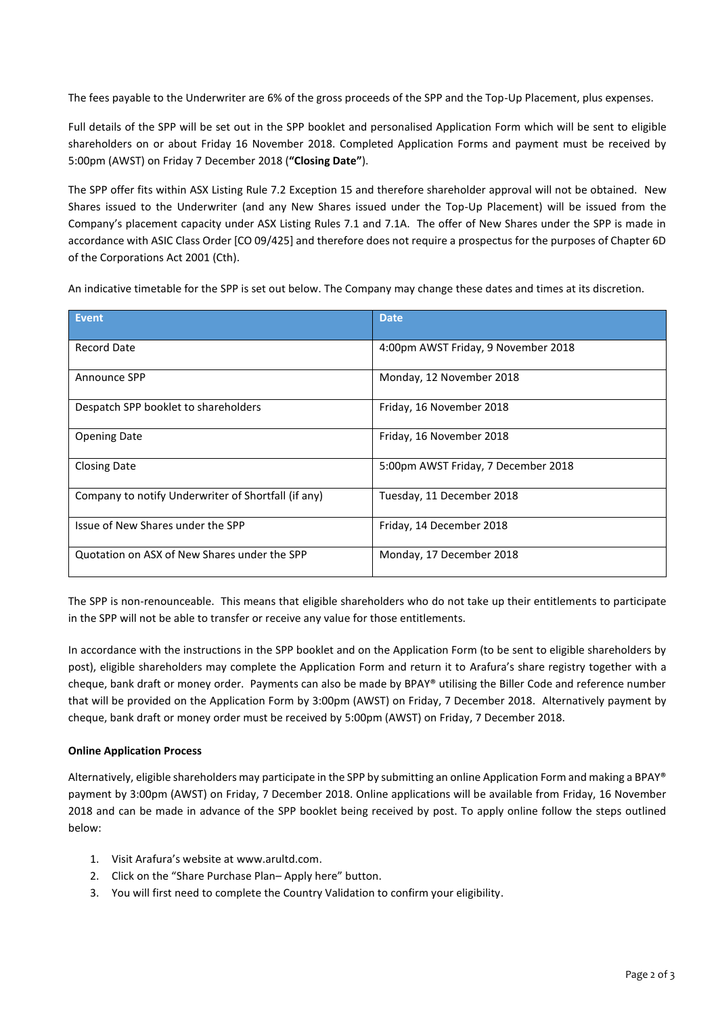The fees payable to the Underwriter are 6% of the gross proceeds of the SPP and the Top-Up Placement, plus expenses.

Full details of the SPP will be set out in the SPP booklet and personalised Application Form which will be sent to eligible shareholders on or about Friday 16 November 2018. Completed Application Forms and payment must be received by 5:00pm (AWST) on Friday 7 December 2018 (**"Closing Date"**).

The SPP offer fits within ASX Listing Rule 7.2 Exception 15 and therefore shareholder approval will not be obtained. New Shares issued to the Underwriter (and any New Shares issued under the Top-Up Placement) will be issued from the Company's placement capacity under ASX Listing Rules 7.1 and 7.1A. The offer of New Shares under the SPP is made in accordance with ASIC Class Order [CO 09/425] and therefore does not require a prospectus for the purposes of Chapter 6D of the Corporations Act 2001 (Cth).

An indicative timetable for the SPP is set out below. The Company may change these dates and times at its discretion.

| <b>Event</b>                                        | <b>Date</b>                         |
|-----------------------------------------------------|-------------------------------------|
| <b>Record Date</b>                                  | 4:00pm AWST Friday, 9 November 2018 |
| Announce SPP                                        | Monday, 12 November 2018            |
| Despatch SPP booklet to shareholders                | Friday, 16 November 2018            |
| <b>Opening Date</b>                                 | Friday, 16 November 2018            |
| <b>Closing Date</b>                                 | 5:00pm AWST Friday, 7 December 2018 |
| Company to notify Underwriter of Shortfall (if any) | Tuesday, 11 December 2018           |
| Issue of New Shares under the SPP                   | Friday, 14 December 2018            |
| Quotation on ASX of New Shares under the SPP        | Monday, 17 December 2018            |

The SPP is non-renounceable. This means that eligible shareholders who do not take up their entitlements to participate in the SPP will not be able to transfer or receive any value for those entitlements.

In accordance with the instructions in the SPP booklet and on the Application Form (to be sent to eligible shareholders by post), eligible shareholders may complete the Application Form and return it to Arafura's share registry together with a cheque, bank draft or money order. Payments can also be made by BPAY® utilising the Biller Code and reference number that will be provided on the Application Form by 3:00pm (AWST) on Friday, 7 December 2018. Alternatively payment by cheque, bank draft or money order must be received by 5:00pm (AWST) on Friday, 7 December 2018.

### **Online Application Process**

Alternatively, eligible shareholders may participate in the SPP by submitting an online Application Form and making a BPAY® payment by 3:00pm (AWST) on Friday, 7 December 2018. Online applications will be available from Friday, 16 November 2018 and can be made in advance of the SPP booklet being received by post. To apply online follow the steps outlined below:

- 1. Visit Arafura's website at [www.arultd.com.](http://www.arultd.com/)
- 2. Click on the "Share Purchase Plan– Apply here" button.
- 3. You will first need to complete the Country Validation to confirm your eligibility.